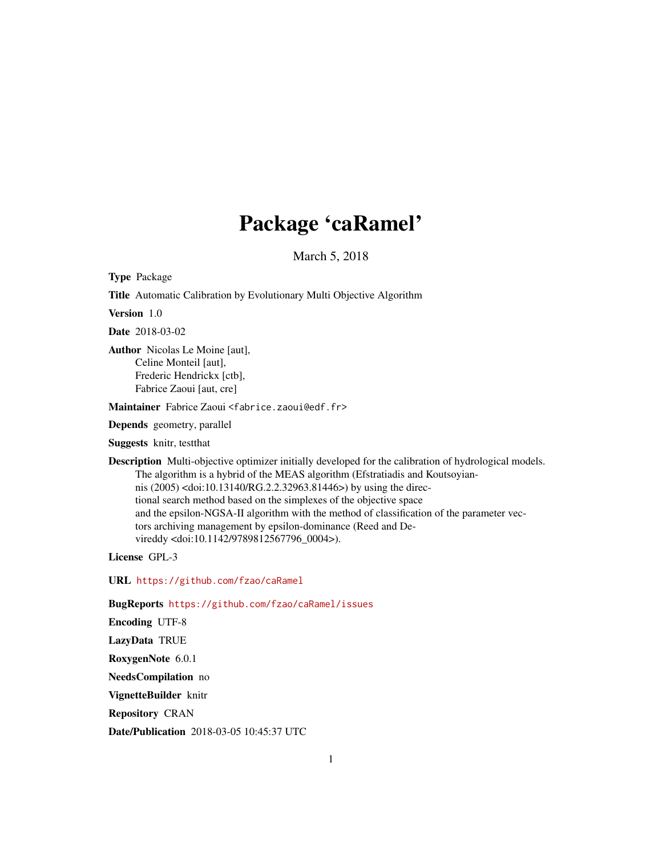# Package 'caRamel'

March 5, 2018

Type Package

Title Automatic Calibration by Evolutionary Multi Objective Algorithm

Version 1.0

Date 2018-03-02

Author Nicolas Le Moine [aut], Celine Monteil [aut], Frederic Hendrickx [ctb], Fabrice Zaoui [aut, cre]

Maintainer Fabrice Zaoui <fabrice.zaoui@edf.fr>

Depends geometry, parallel

Suggests knitr, testthat

Description Multi-objective optimizer initially developed for the calibration of hydrological models. The algorithm is a hybrid of the MEAS algorithm (Efstratiadis and Koutsoyiannis (2005) <doi:10.13140/RG.2.2.32963.81446>) by using the directional search method based on the simplexes of the objective space and the epsilon-NGSA-II algorithm with the method of classification of the parameter vectors archiving management by epsilon-dominance (Reed and Devireddy <doi:10.1142/9789812567796\_0004>).

License GPL-3

URL <https://github.com/fzao/caRamel>

BugReports <https://github.com/fzao/caRamel/issues>

Encoding UTF-8

LazyData TRUE

RoxygenNote 6.0.1

NeedsCompilation no

VignetteBuilder knitr

Repository CRAN

Date/Publication 2018-03-05 10:45:37 UTC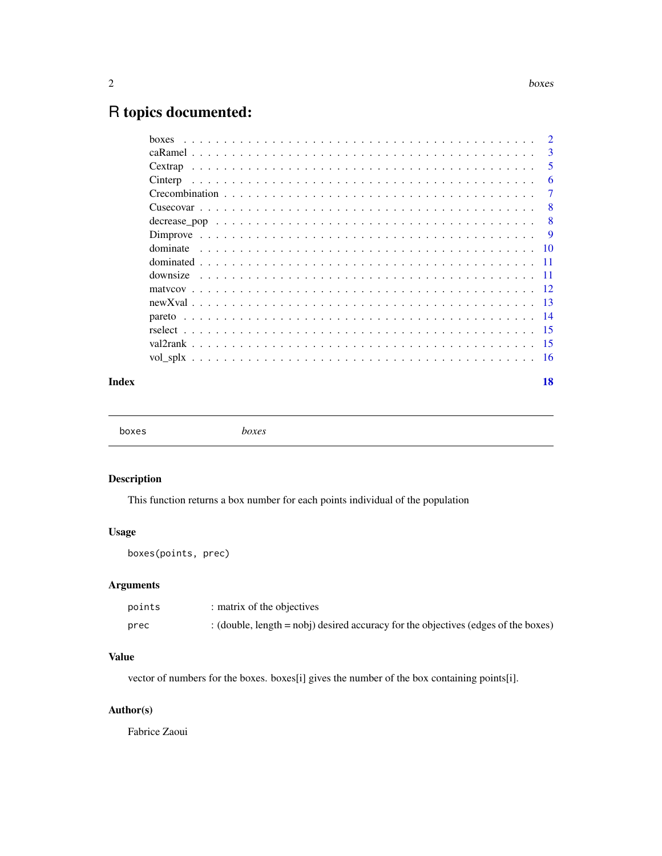# <span id="page-1-0"></span>R topics documented:

| hoxes    | $\mathcal{D}_{\mathcal{L}}$ |
|----------|-----------------------------|
|          | 3                           |
|          | 5                           |
| Cinterp  | 6                           |
|          | 7                           |
|          | 8                           |
|          | 8                           |
|          | <b>9</b>                    |
| dominate |                             |
|          |                             |
|          | -11                         |
|          | -12                         |
|          |                             |
|          |                             |
|          |                             |
|          |                             |
|          |                             |
|          |                             |

#### **Index** 2008 **[18](#page-17-0)**

boxes *boxes*

# Description

This function returns a box number for each points individual of the population

# Usage

boxes(points, prec)

#### Arguments

| points | : matrix of the objectives                                                         |
|--------|------------------------------------------------------------------------------------|
| prec   | : (double, length = nobj) desired accuracy for the objectives (edges of the boxes) |

#### Value

vector of numbers for the boxes. boxes[i] gives the number of the box containing points[i].

# Author(s)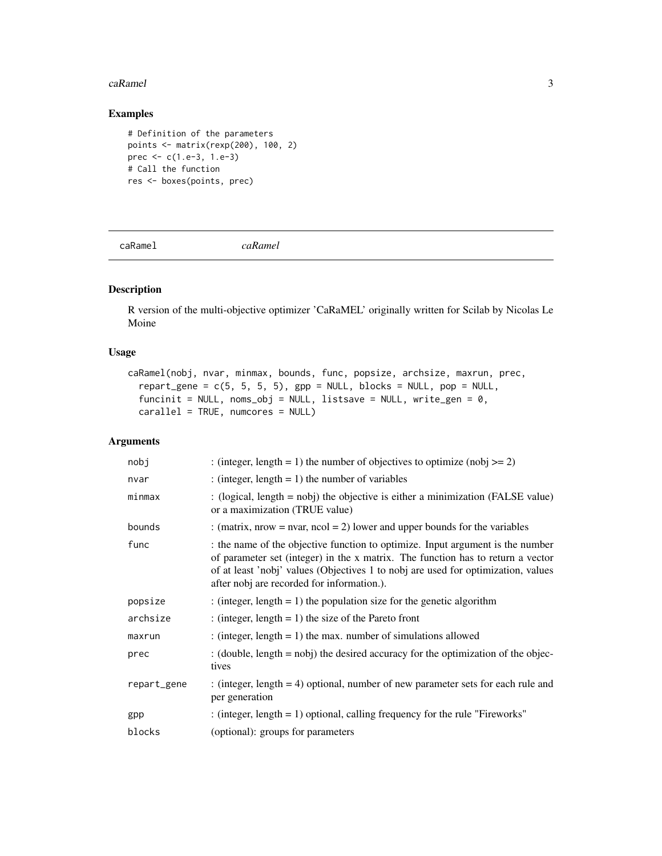#### <span id="page-2-0"></span>caRamel 3

#### Examples

```
# Definition of the parameters
points <- matrix(rexp(200), 100, 2)
prec <- c(1.e-3, 1.e-3)
# Call the function
res <- boxes(points, prec)
```
caRamel *caRamel*

# Description

R version of the multi-objective optimizer 'CaRaMEL' originally written for Scilab by Nicolas Le Moine

# Usage

```
caRamel(nobj, nvar, minmax, bounds, func, popsize, archsize, maxrun, prec,
  report\_gene = c(5, 5, 5, 5), gpp = NULL, blocks = NULL, pop = NULL,
  function = NULL, noms_obj = NULL, listsave = NULL, write_gen = 0,
 carallel = TRUE, numcores = NULL)
```
#### Arguments

| nobj        | : (integer, length = 1) the number of objectives to optimize (nobj >= 2)                                                                                                                                                                                                                           |
|-------------|----------------------------------------------------------------------------------------------------------------------------------------------------------------------------------------------------------------------------------------------------------------------------------------------------|
| nvar        | : (integer, length = 1) the number of variables                                                                                                                                                                                                                                                    |
| minmax      | : (logical, length = nobj) the objective is either a minimization (FALSE value)<br>or a maximization (TRUE value)                                                                                                                                                                                  |
| bounds      | : (matrix, nrow = nvar, ncol = 2) lower and upper bounds for the variables                                                                                                                                                                                                                         |
| func        | the name of the objective function to optimize. Input argument is the number<br>of parameter set (integer) in the x matrix. The function has to return a vector<br>of at least 'nobj' values (Objectives 1 to nobj are used for optimization, values<br>after nobj are recorded for information.). |
| popsize     | : (integer, length = 1) the population size for the genetic algorithm                                                                                                                                                                                                                              |
| archsize    | : (integer, length = 1) the size of the Pareto front                                                                                                                                                                                                                                               |
| maxrun      | : (integer, length = 1) the max. number of simulations allowed                                                                                                                                                                                                                                     |
| prec        | : (double, length $=$ nobj) the desired accuracy for the optimization of the objec-<br>tives                                                                                                                                                                                                       |
| repart_gene | : (integer, length $= 4$ ) optional, number of new parameter sets for each rule and<br>per generation                                                                                                                                                                                              |
| gpp         | : (integer, length $= 1$ ) optional, calling frequency for the rule "Fireworks"                                                                                                                                                                                                                    |
| blocks      | (optional): groups for parameters                                                                                                                                                                                                                                                                  |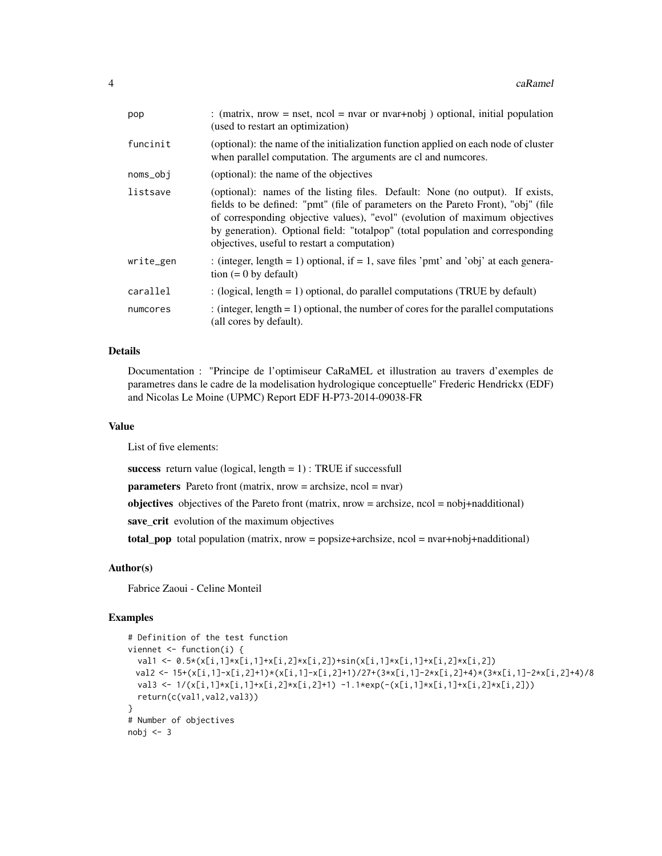| pop       | : (matrix, nrow = nset, ncol = nvar or nvar+nobj) optional, initial population<br>(used to restart an optimization)                                                                                                                                                                                                                                                                 |
|-----------|-------------------------------------------------------------------------------------------------------------------------------------------------------------------------------------------------------------------------------------------------------------------------------------------------------------------------------------------------------------------------------------|
| funcinit  | (optional): the name of the initialization function applied on each node of cluster<br>when parallel computation. The arguments are cl and numcores.                                                                                                                                                                                                                                |
| noms_obj  | (optional): the name of the objectives                                                                                                                                                                                                                                                                                                                                              |
| listsave  | (optional): names of the listing files. Default: None (no output). If exists,<br>fields to be defined: "pmt" (file of parameters on the Pareto Front), "obj" (file<br>of corresponding objective values), "evol" (evolution of maximum objectives<br>by generation). Optional field: "totalpop" (total population and corresponding<br>objectives, useful to restart a computation) |
| write_gen | : (integer, length = 1) optional, if = 1, save files 'pmt' and 'obj' at each genera-<br>tion $(= 0$ by default)                                                                                                                                                                                                                                                                     |
| carallel  | : (logical, length = 1) optional, do parallel computations (TRUE by default)                                                                                                                                                                                                                                                                                                        |
| numcores  | : (integer, length $= 1$ ) optional, the number of cores for the parallel computations<br>(all cores by default).                                                                                                                                                                                                                                                                   |

#### Details

Documentation : "Principe de l'optimiseur CaRaMEL et illustration au travers d'exemples de parametres dans le cadre de la modelisation hydrologique conceptuelle" Frederic Hendrickx (EDF) and Nicolas Le Moine (UPMC) Report EDF H-P73-2014-09038-FR

#### Value

List of five elements:

success return value (logical, length  $= 1$ ) : TRUE if successfull

 $parameters$  Pareto front (matrix, nrow = archsize, ncol = nvar)

objectives objectives of the Pareto front (matrix, nrow = archsize, ncol = nobj+nadditional)

save\_crit evolution of the maximum objectives

total\_pop total population (matrix, nrow = popsize+archsize, ncol = nvar+nobj+nadditional)

#### Author(s)

Fabrice Zaoui - Celine Monteil

```
# Definition of the test function
viennet <- function(i) {
  val1 <- 0.5*(x[i,1]*x[i,1]+x[i,2]*x[i,2])+sin(x[i,1]*x[i,1]+x[i,2]*x[i,2])
 val2 <- 15+(x[i,1]-x[i,2]+1)*(x[i,1]-x[i,2]+1)/27+(3*x[i,1]-2*x[i,2]+4)*(3*x[i,1]-2*x[i,2]+4)/8
  val3 <- 1/(x[i,1]*x[i,1]+x[i,2]*x[i,2]+1) -1.1*exp(-(x[i,1]*x[i,1]+x[i,2]*x[i,2]))
  return(c(val1,val2,val3))
}
# Number of objectives
nobj \leq -3
```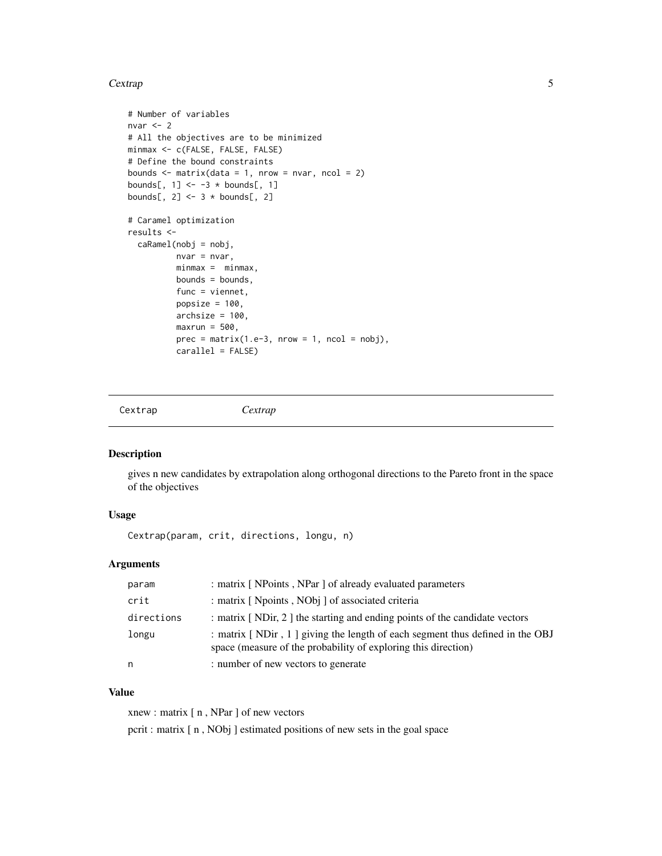#### <span id="page-4-0"></span>Cextrap 5

```
# Number of variables
nvar <-2# All the objectives are to be minimized
minmax <- c(FALSE, FALSE, FALSE)
# Define the bound constraints
bounds \leq matrix(data = 1, nrow = nvar, ncol = 2)
bounds[, 1] <- -3 * bounds[, 1]
bounds[, 2] <- 3 * bounds[, 2]
# Caramel optimization
results <-
  caRamel(nobj = nobj,
          nvar = nvar,
          minmax = minmax,bounds = bounds,
          func = viennet,
          popsize = 100,
          archsize = 100,
          maxrun = 500,prec = matrix(1.e-3, nrow = 1, ncol = nobj),carallel = FALSE)
```
Cextrap *Cextrap*

#### Description

gives n new candidates by extrapolation along orthogonal directions to the Pareto front in the space of the objectives

#### Usage

Cextrap(param, crit, directions, longu, n)

#### Arguments

| param      | : matrix [ NPoints, NPar ] of already evaluated parameters                                                                                     |
|------------|------------------------------------------------------------------------------------------------------------------------------------------------|
| crit       | : matrix [ Npoints, NObj ] of associated criteria                                                                                              |
| directions | : matrix [NDir, 2] the starting and ending points of the candidate vectors                                                                     |
| longu      | : matrix [NDir, 1] giving the length of each segment thus defined in the OBJ<br>space (measure of the probability of exploring this direction) |
| n          | : number of new vectors to generate                                                                                                            |

#### Value

xnew : matrix [ n , NPar ] of new vectors pcrit : matrix [ n , NObj ] estimated positions of new sets in the goal space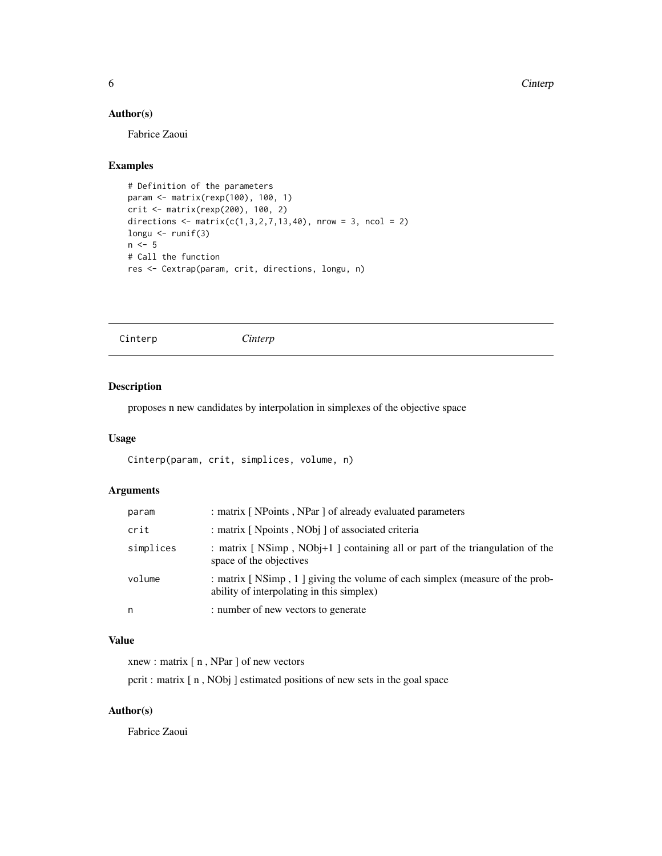#### <span id="page-5-0"></span>Author(s)

Fabrice Zaoui

#### Examples

```
# Definition of the parameters
param <- matrix(rexp(100), 100, 1)
crit <- matrix(rexp(200), 100, 2)
directions \leq matrix(c(1,3,2,7,13,40), nrow = 3, ncol = 2)
longu <- runif(3)
n \le -5# Call the function
res <- Cextrap(param, crit, directions, longu, n)
```
Cinterp *Cinterp*

#### Description

proposes n new candidates by interpolation in simplexes of the objective space

#### Usage

```
Cinterp(param, crit, simplices, volume, n)
```
# Arguments

| param     | : matrix [ NPoints, NPar ] of already evaluated parameters                                                               |
|-----------|--------------------------------------------------------------------------------------------------------------------------|
| crit      | : matrix [ Npoints, NObi ] of associated criteria                                                                        |
| simplices | : matrix [NSimp, NObj+1] containing all or part of the triangulation of the<br>space of the objectives                   |
| volume    | : matrix [NSimp, 1] giving the volume of each simplex (measure of the prob-<br>ability of interpolating in this simplex) |
| n         | : number of new vectors to generate                                                                                      |

# Value

xnew : matrix [ n , NPar ] of new vectors

pcrit : matrix [ n , NObj ] estimated positions of new sets in the goal space

# Author(s)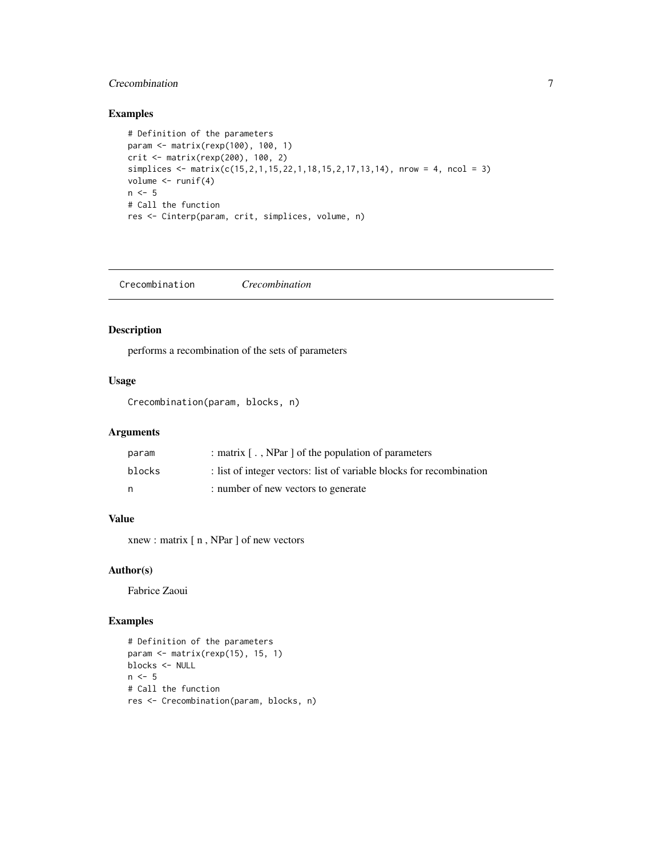#### <span id="page-6-0"></span>Crecombination 7

#### Examples

```
# Definition of the parameters
param <- matrix(rexp(100), 100, 1)
crit <- matrix(rexp(200), 100, 2)
simplices <- matrix(c(15,2,1,15,22,1,18,15,2,17,13,14), nrow = 4, ncol = 3)
volume <- runif(4)
n < -5# Call the function
res <- Cinterp(param, crit, simplices, volume, n)
```
Crecombination *Crecombination*

# Description

performs a recombination of the sets of parameters

# Usage

Crecombination(param, blocks, n)

#### Arguments

| param  | : matrix [, NPar ] of the population of parameters                   |
|--------|----------------------------------------------------------------------|
| blocks | : list of integer vectors: list of variable blocks for recombination |
| n      | : number of new vectors to generate                                  |

#### Value

xnew : matrix [ n , NPar ] of new vectors

### Author(s)

Fabrice Zaoui

```
# Definition of the parameters
param <- matrix(rexp(15), 15, 1)
blocks <- NULL
n < -5# Call the function
res <- Crecombination(param, blocks, n)
```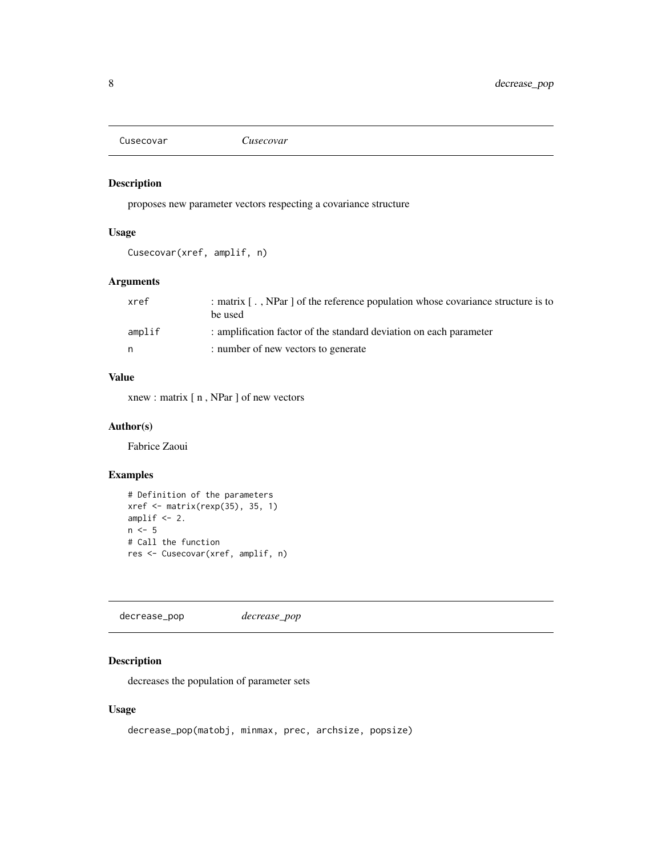<span id="page-7-0"></span>Cusecovar *Cusecovar*

#### Description

proposes new parameter vectors respecting a covariance structure

#### Usage

Cusecovar(xref, amplif, n)

#### Arguments

| xref   | : matrix [, NPar ] of the reference population whose covariance structure is to<br>be used |
|--------|--------------------------------------------------------------------------------------------|
| amplif | : amplification factor of the standard deviation on each parameter                         |
| n.     | : number of new vectors to generate                                                        |

#### Value

xnew : matrix [ n , NPar ] of new vectors

#### Author(s)

Fabrice Zaoui

#### Examples

```
# Definition of the parameters
xref <- matrix(rexp(35), 35, 1)
amplif <-2.
n \leq -5# Call the function
res <- Cusecovar(xref, amplif, n)
```
decrease\_pop *decrease\_pop*

#### Description

decreases the population of parameter sets

#### Usage

```
decrease_pop(matobj, minmax, prec, archsize, popsize)
```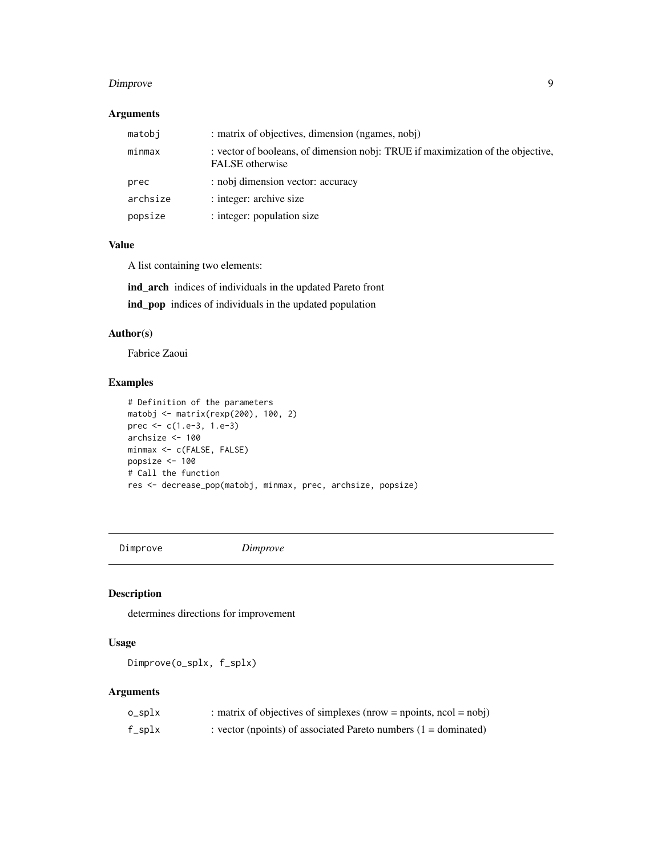#### <span id="page-8-0"></span>Dimprove 2012 2013 2014 12:30 PM 2012 2013 2014 2015 2016 2017 2018 2019 2014 2015 2016 2017 2018 2017 2018 20<br>- Particular State State State State State State State State State State State State State State State State S

#### Arguments

| matobj   | : matrix of objectives, dimension (ngames, nobj)                                                   |
|----------|----------------------------------------------------------------------------------------------------|
| minmax   | : vector of booleans, of dimension nobj: TRUE if maximization of the objective,<br>FALSE otherwise |
| prec     | : nobj dimension vector: accuracy                                                                  |
| archsize | : integer: archive size                                                                            |
| popsize  | : integer: population size                                                                         |

#### Value

A list containing two elements:

ind\_arch indices of individuals in the updated Pareto front

ind\_pop indices of individuals in the updated population

# Author(s)

Fabrice Zaoui

#### Examples

```
# Definition of the parameters
matobj <- matrix(rexp(200), 100, 2)
prec <- c(1.e-3, 1.e-3)
archsize <- 100
minmax <- c(FALSE, FALSE)
popsize <- 100
# Call the function
res <- decrease_pop(matobj, minmax, prec, archsize, popsize)
```
Dimprove *Dimprove*

#### Description

determines directions for improvement

# Usage

Dimprove(o\_splx, f\_splx)

#### Arguments

| o_splx | : matrix of objectives of simplexes (nrow = npoints, $ncol = nobj$ ) |
|--------|----------------------------------------------------------------------|
| f_splx | : vector (npoints) of associated Pareto numbers $(1 =$ dominated)    |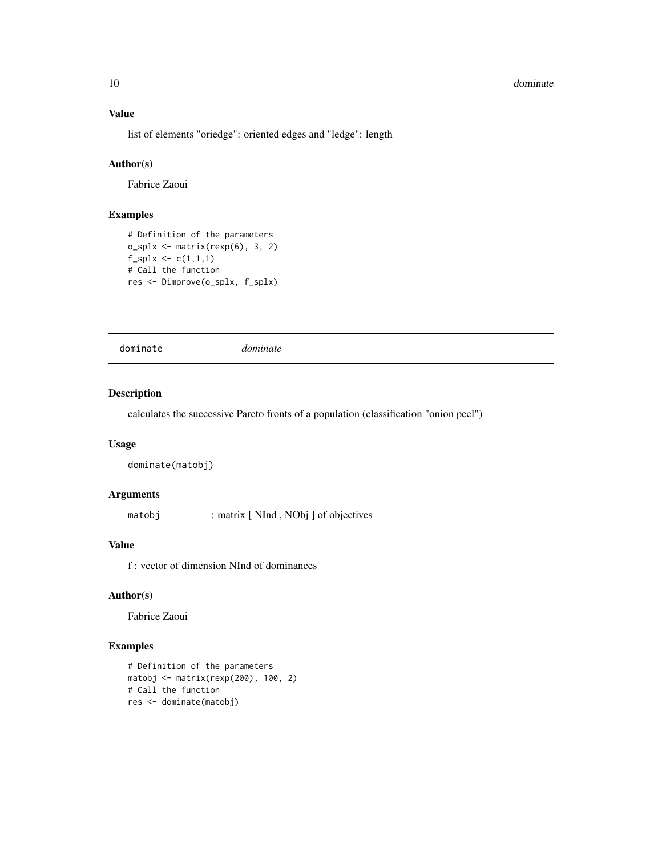#### <span id="page-9-0"></span>10 dominate and the contract of the contract of the contract of the contract of the contract of the contract of the contract of the contract of the contract of the contract of the contract of the contract of the contract o

#### Value

list of elements "oriedge": oriented edges and "ledge": length

#### Author(s)

Fabrice Zaoui

# Examples

```
# Definition of the parameters
o_splx <- matrix(rexp(6), 3, 2)
f_splx \leftarrow c(1,1,1)# Call the function
res <- Dimprove(o_splx, f_splx)
```
dominate *dominate*

#### Description

calculates the successive Pareto fronts of a population (classification "onion peel")

#### Usage

dominate(matobj)

#### Arguments

matobj : matrix [ NInd , NObj ] of objectives

#### Value

f : vector of dimension NInd of dominances

# Author(s)

Fabrice Zaoui

```
# Definition of the parameters
matobj <- matrix(rexp(200), 100, 2)
# Call the function
res <- dominate(matobj)
```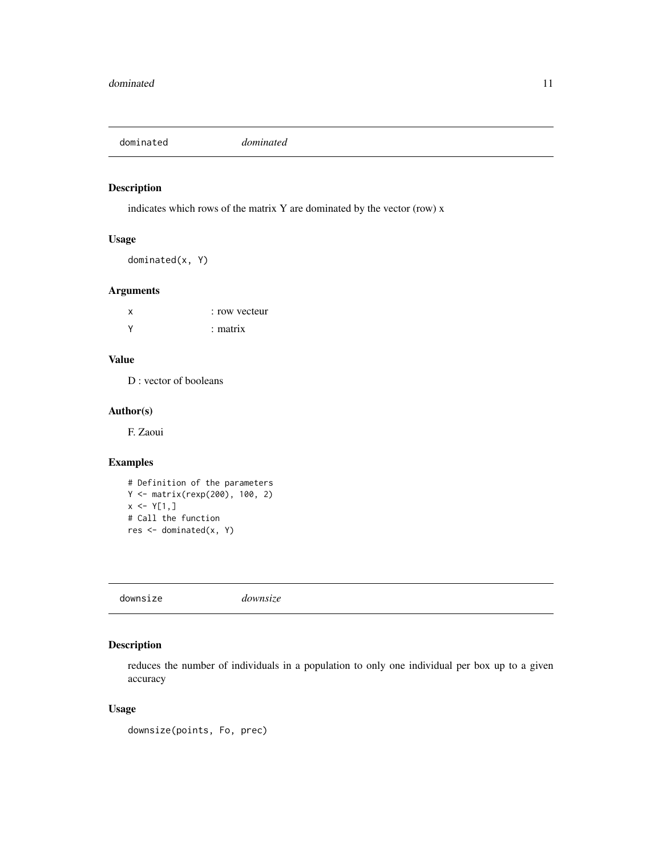<span id="page-10-0"></span>dominated *dominated*

#### Description

indicates which rows of the matrix Y are dominated by the vector (row) x

# Usage

dominated(x, Y)

#### Arguments

| X        | : row vecteur |
|----------|---------------|
| <b>V</b> | $:$ matrix    |

#### Value

D : vector of booleans

#### Author(s)

F. Zaoui

#### Examples

```
# Definition of the parameters
Y <- matrix(rexp(200), 100, 2)
x \le Y[1,]# Call the function
res <- dominated(x, Y)
```
downsize *downsize*

#### Description

reduces the number of individuals in a population to only one individual per box up to a given accuracy

#### Usage

```
downsize(points, Fo, prec)
```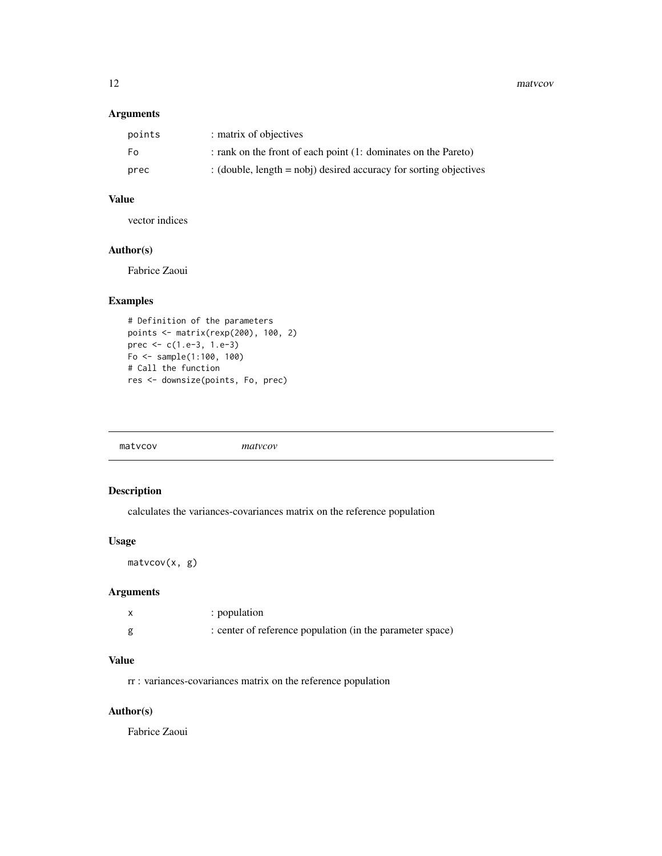<span id="page-11-0"></span>12 matv. matv. matv. matv. matv. matv. matv. matv. matv. matv. matv. matv. matv. matv. matv. matv. matv. matv. matv. matv. matv. matv. matv. matv. matv. matv. matv. matv. matv. matv. matv. matv. matv. matv. matv. matv. mat

#### Arguments

| points | : matrix of objectives                                               |
|--------|----------------------------------------------------------------------|
| Fo.    | : rank on the front of each point (1: dominates on the Pareto)       |
| prec   | : (double, $length = nobj$ ) desired accuracy for sorting objectives |

# Value

vector indices

# Author(s)

Fabrice Zaoui

# Examples

```
# Definition of the parameters
points <- matrix(rexp(200), 100, 2)
prec <- c(1.e-3, 1.e-3)
Fo <- sample(1:100, 100)
# Call the function
res <- downsize(points, Fo, prec)
```
# Description

calculates the variances-covariances matrix on the reference population

#### Usage

matvcov(x, g)

#### Arguments

|   | : population                                              |
|---|-----------------------------------------------------------|
| g | : center of reference population (in the parameter space) |

# Value

rr : variances-covariances matrix on the reference population

# Author(s)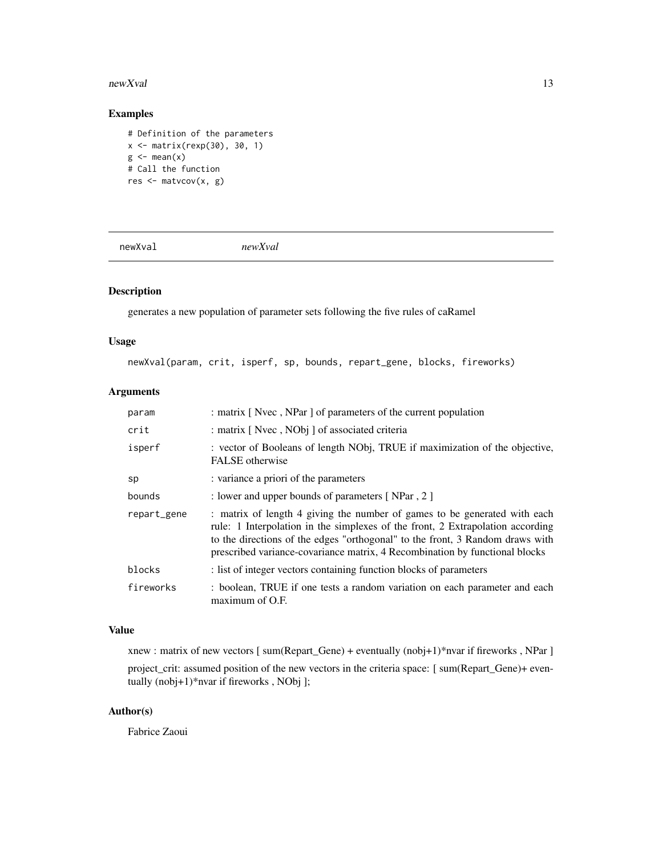#### <span id="page-12-0"></span>newXval and the state of the state of the state of the state of the state of the state of the state of the state of the state of the state of the state of the state of the state of the state of the state of the state of th

## Examples

```
# Definition of the parameters
x <- matrix(rexp(30), 30, 1)
g \leftarrow \text{mean}(x)# Call the function
res <- matvcov(x, g)
```
newXval *newXval*

# Description

generates a new population of parameter sets following the five rules of caRamel

#### Usage

newXval(param, crit, isperf, sp, bounds, repart\_gene, blocks, fireworks)

# Arguments

| param       | : matrix [Nvec, NPar] of parameters of the current population                                                                                                                                                                                                                                                               |
|-------------|-----------------------------------------------------------------------------------------------------------------------------------------------------------------------------------------------------------------------------------------------------------------------------------------------------------------------------|
| crit        | : matrix [ Nvec, NObj ] of associated criteria                                                                                                                                                                                                                                                                              |
| isperf      | : vector of Booleans of length NObj, TRUE if maximization of the objective,<br>FALSE otherwise                                                                                                                                                                                                                              |
| sp          | : variance a priori of the parameters                                                                                                                                                                                                                                                                                       |
| bounds      | : lower and upper bounds of parameters [NPar, 2]                                                                                                                                                                                                                                                                            |
| repart_gene | : matrix of length 4 giving the number of games to be generated with each<br>rule: 1 Interpolation in the simplexes of the front, 2 Extrapolation according<br>to the directions of the edges "orthogonal" to the front, 3 Random draws with<br>prescribed variance-covariance matrix, 4 Recombination by functional blocks |
| blocks      | : list of integer vectors containing function blocks of parameters                                                                                                                                                                                                                                                          |
| fireworks   | : boolean, TRUE if one tests a random variation on each parameter and each<br>maximum of O.F.                                                                                                                                                                                                                               |

#### Value

xnew : matrix of new vectors [ sum(Repart\_Gene) + eventually (nobj+1)\*nvar if fireworks , NPar ] project\_crit: assumed position of the new vectors in the criteria space: [ sum(Repart\_Gene)+ eventually (nobj+1)\*nvar if fireworks , NObj ];

# Author(s)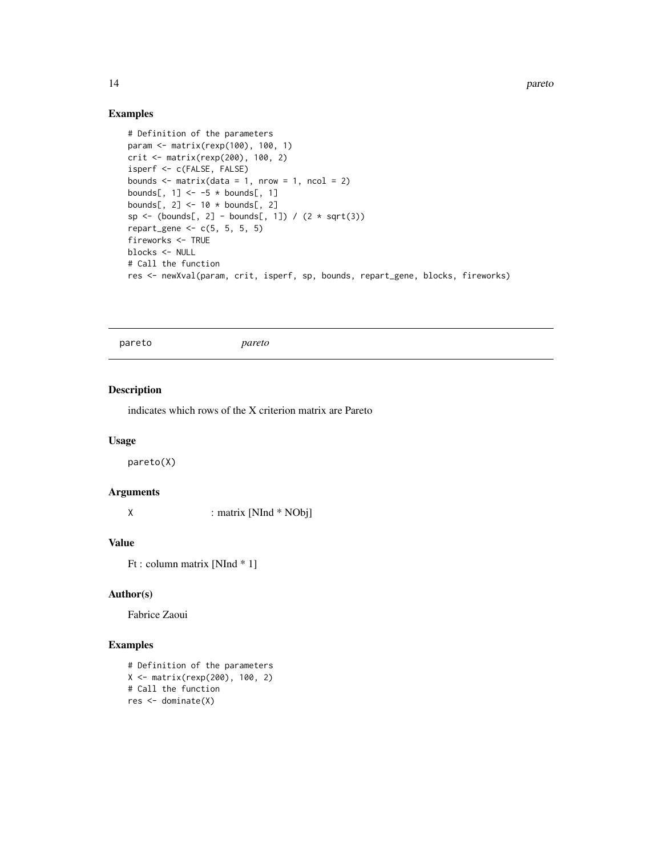14 *pareto* 

# Examples

```
# Definition of the parameters
param <- matrix(rexp(100), 100, 1)
crit <- matrix(rexp(200), 100, 2)
isperf <- c(FALSE, FALSE)
bounds \le matrix(data = 1, nrow = 1, ncol = 2)
bounds[, 1] <- -5 * bounds[, 1]
bounds[, 2] <- 10 * bounds[, 2]
sp \leftarrow (bounds[, 2] - bounds[, 1]) / (2 * sqrt(3))repart_gene \leq c(5, 5, 5, 5)
fireworks <- TRUE
blocks <- NULL
# Call the function
res <- newXval(param, crit, isperf, sp, bounds, repart_gene, blocks, fireworks)
```
pareto *pareto*

#### Description

indicates which rows of the X criterion matrix are Pareto

#### Usage

pareto(X)

#### Arguments

X : matrix [NInd \* NObj]

#### Value

Ft : column matrix [NInd \* 1]

#### Author(s)

Fabrice Zaoui

#### Examples

# Definition of the parameters X <- matrix(rexp(200), 100, 2) # Call the function res <- dominate(X)

<span id="page-13-0"></span>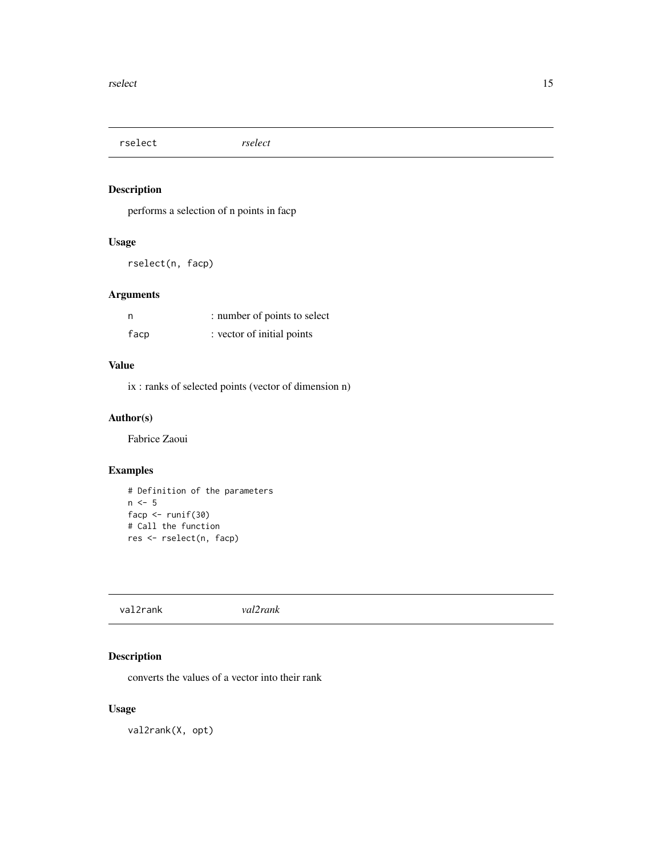<span id="page-14-0"></span>rselect *rselect*

#### Description

performs a selection of n points in facp

#### Usage

rselect(n, facp)

#### Arguments

| n    | : number of points to select |  |
|------|------------------------------|--|
| facp | : vector of initial points   |  |

#### Value

ix : ranks of selected points (vector of dimension n)

# Author(s)

Fabrice Zaoui

# Examples

```
# Definition of the parameters
n < -5facp <- runif(30)
# Call the function
res <- rselect(n, facp)
```
val2rank *val2rank*

# Description

converts the values of a vector into their rank

# Usage

val2rank(X, opt)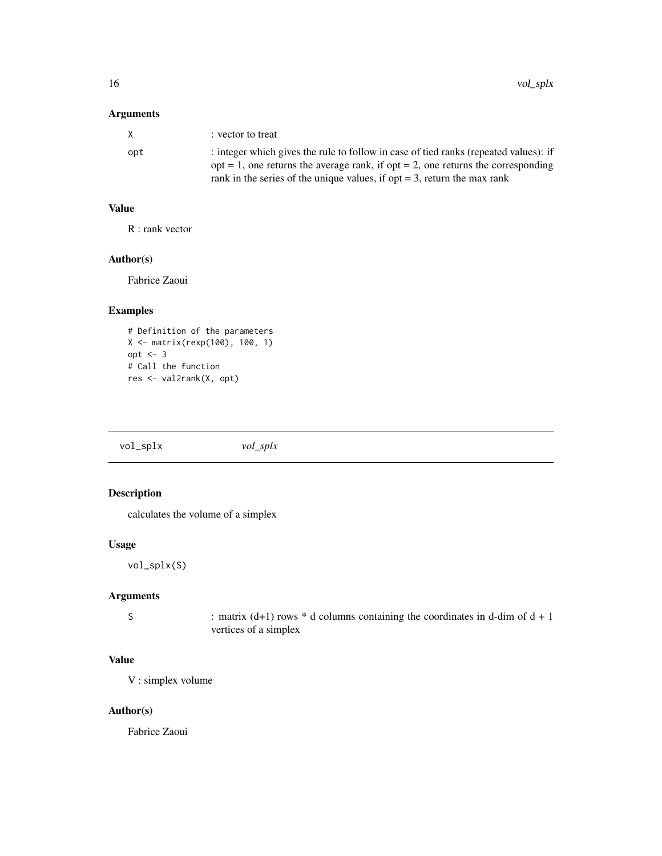# <span id="page-15-0"></span>Arguments

| X   | : vector to treat                                                                      |
|-----|----------------------------------------------------------------------------------------|
| opt | : integer which gives the rule to follow in case of tied ranks (repeated values): if   |
|     | $opt = 1$ , one returns the average rank, if $opt = 2$ , one returns the corresponding |
|     | rank in the series of the unique values, if opt $=$ 3, return the max rank             |

#### Value

R : rank vector

# Author(s)

Fabrice Zaoui

#### Examples

```
# Definition of the parameters
X <- matrix(rexp(100), 100, 1)
opt <- 3
# Call the function
res <- val2rank(X, opt)
```

| vol_splx | $vol\_splx$ |  |  |
|----------|-------------|--|--|
|----------|-------------|--|--|

# Description

calculates the volume of a simplex

#### Usage

vol\_splx(S)

# Arguments

S : matrix  $(d+1)$  rows  $*$  d columns containing the coordinates in d-dim of  $d + 1$ vertices of a simplex

# Value

V : simplex volume

#### Author(s)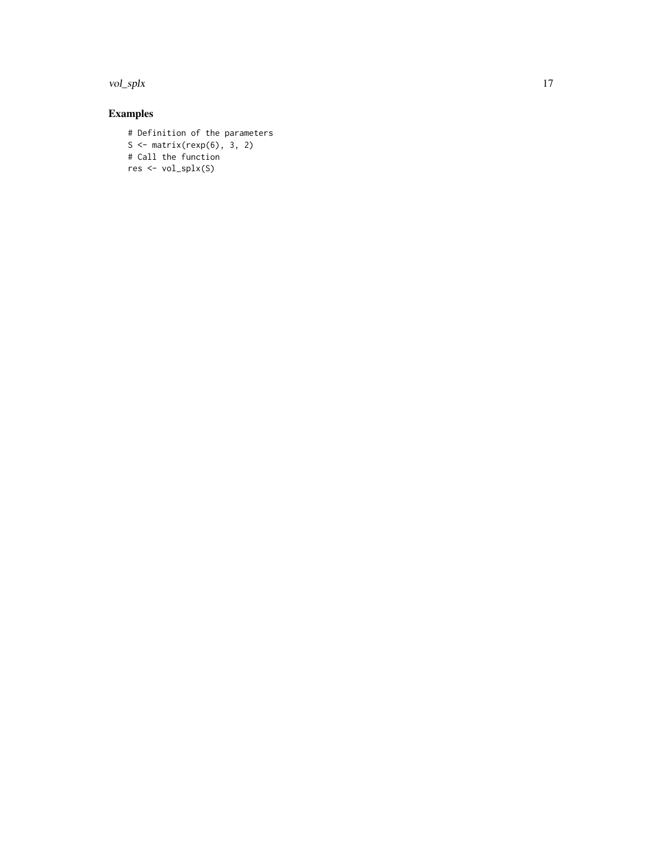vol\_splx and 17

```
# Definition of the parameters
S <- matrix(rexp(6), 3, 2)
# Call the function
res <- vol_splx(S)
```